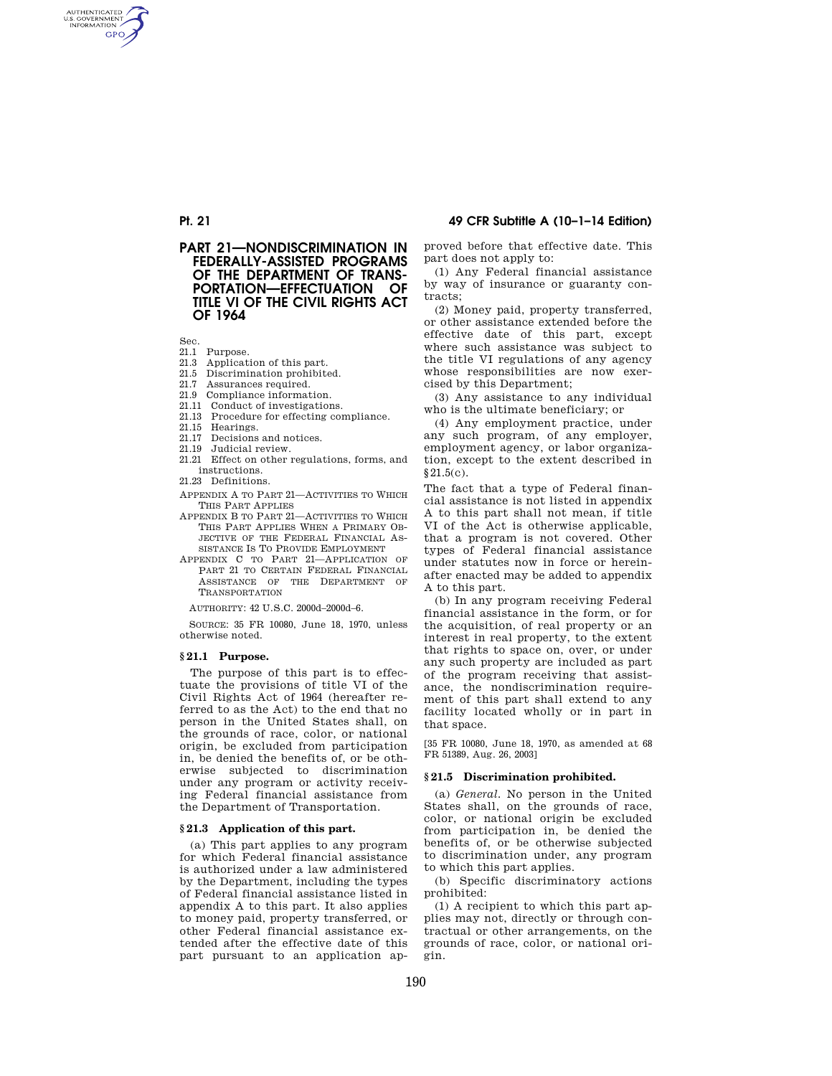AUTHENTICATED<br>U.S. GOVERNMENT<br>INFORMATION **GPO** 

# **PART 21—NONDISCRIMINATION IN FEDERALLY-ASSISTED PROGRAMS OF THE DEPARTMENT OF TRANS-PORTATION—EFFECTUATION OF TITLE VI OF THE CIVIL RIGHTS ACT OF 1964**

Sec.

- 21.1 Purpose.
- 21.3 Application of this part.<br>21.5 Discrimination prohibite
- Discrimination prohibited.
- 21.7 Assurances required.
- 21.9 Compliance information.
- 21.11 Conduct of investigations.
- 21.13 Procedure for effecting compliance.
- 21.15 Hearings.<br>21.17 Decisions
- Decisions and notices.
- 21.19 Judicial review.
- 21.21 Effect on other regulations, forms, and instructions.
- 21.23 Definitions.
- APPENDIX A TO PART 21—ACTIVITIES TO WHICH THIS PART APPLIES
- APPENDIX B TO PART 21—ACTIVITIES TO WHICH THIS PART APPLIES WHEN A PRIMARY OB-JECTIVE OF THE FEDERAL FINANCIAL AS-SISTANCE IS TO PROVIDE EMPLOYMENT
- APPENDIX C TO PART 21—APPLICATION OF PART 21 TO CERTAIN FEDERAL FINANCIAL ASSISTANCE OF THE DEPARTMENT OF TRANSPORTATION

AUTHORITY: 42 U.S.C. 2000d–2000d–6.

SOURCE: 35 FR 10080, June 18, 1970, unless otherwise noted.

### **§ 21.1 Purpose.**

The purpose of this part is to effectuate the provisions of title VI of the Civil Rights Act of 1964 (hereafter referred to as the Act) to the end that no person in the United States shall, on the grounds of race, color, or national origin, be excluded from participation in, be denied the benefits of, or be otherwise subjected to discrimination under any program or activity receiving Federal financial assistance from the Department of Transportation.

### **§ 21.3 Application of this part.**

(a) This part applies to any program for which Federal financial assistance is authorized under a law administered by the Department, including the types of Federal financial assistance listed in appendix A to this part. It also applies to money paid, property transferred, or other Federal financial assistance extended after the effective date of this part pursuant to an application ap-

**Pt. 21 49 CFR Subtitle A (10–1–14 Edition)** 

proved before that effective date. This part does not apply to:

(1) Any Federal financial assistance by way of insurance or guaranty contracts;

(2) Money paid, property transferred, or other assistance extended before the effective date of this part, except where such assistance was subject to the title VI regulations of any agency whose responsibilities are now exercised by this Department;

(3) Any assistance to any individual who is the ultimate beneficiary; or

(4) Any employment practice, under any such program, of any employer, employment agency, or labor organization, except to the extent described in §21.5(c).

The fact that a type of Federal financial assistance is not listed in appendix A to this part shall not mean, if title VI of the Act is otherwise applicable, that a program is not covered. Other types of Federal financial assistance under statutes now in force or hereinafter enacted may be added to appendix A to this part.

(b) In any program receiving Federal financial assistance in the form, or for the acquisition, of real property or an interest in real property, to the extent that rights to space on, over, or under any such property are included as part of the program receiving that assistance, the nondiscrimination requirement of this part shall extend to any facility located wholly or in part in that space.

[35 FR 10080, June 18, 1970, as amended at 68 FR 51389, Aug. 26, 2003]

#### **§ 21.5 Discrimination prohibited.**

(a) *General.* No person in the United States shall, on the grounds of race, color, or national origin be excluded from participation in, be denied the benefits of, or be otherwise subjected to discrimination under, any program to which this part applies.

(b) Specific discriminatory actions prohibited:

(1) A recipient to which this part applies may not, directly or through contractual or other arrangements, on the grounds of race, color, or national origin.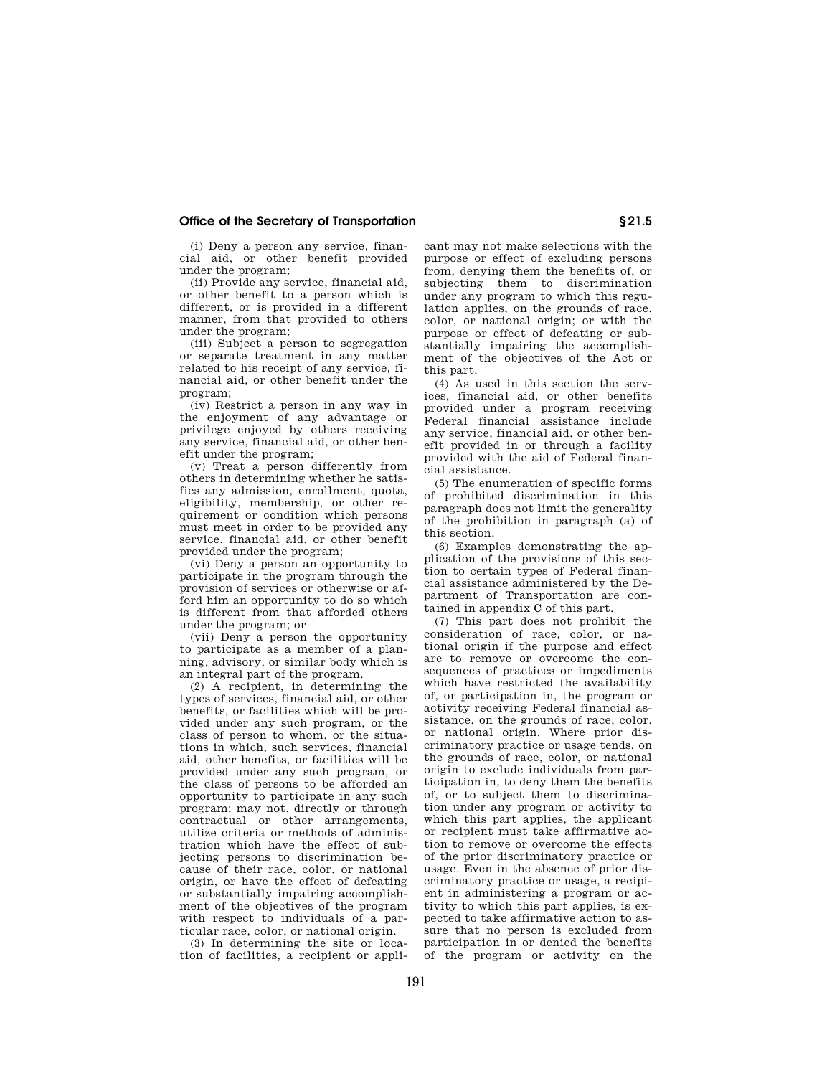(i) Deny a person any service, financial aid, or other benefit provided under the program;

(ii) Provide any service, financial aid, or other benefit to a person which is different, or is provided in a different manner, from that provided to others under the program;

(iii) Subject a person to segregation or separate treatment in any matter related to his receipt of any service, financial aid, or other benefit under the program;

(iv) Restrict a person in any way in the enjoyment of any advantage or privilege enjoyed by others receiving any service, financial aid, or other benefit under the program;

(v) Treat a person differently from others in determining whether he satisfies any admission, enrollment, quota, eligibility, membership, or other requirement or condition which persons must meet in order to be provided any service, financial aid, or other benefit provided under the program;

(vi) Deny a person an opportunity to participate in the program through the provision of services or otherwise or afford him an opportunity to do so which is different from that afforded others under the program; or

(vii) Deny a person the opportunity to participate as a member of a planning, advisory, or similar body which is an integral part of the program.

 $(2)$  A recipient, in determining the types of services, financial aid, or other benefits, or facilities which will be provided under any such program, or the class of person to whom, or the situations in which, such services, financial aid, other benefits, or facilities will be provided under any such program, or the class of persons to be afforded an opportunity to participate in any such program; may not, directly or through contractual or other arrangements, utilize criteria or methods of administration which have the effect of subjecting persons to discrimination because of their race, color, or national origin, or have the effect of defeating or substantially impairing accomplishment of the objectives of the program with respect to individuals of a particular race, color, or national origin.

(3) In determining the site or location of facilities, a recipient or applicant may not make selections with the purpose or effect of excluding persons from, denying them the benefits of, or subjecting them to discrimination under any program to which this regulation applies, on the grounds of race, color, or national origin; or with the purpose or effect of defeating or substantially impairing the accomplishment of the objectives of the Act or this part.

(4) As used in this section the services, financial aid, or other benefits provided under a program receiving Federal financial assistance include any service, financial aid, or other benefit provided in or through a facility provided with the aid of Federal financial assistance.

(5) The enumeration of specific forms of prohibited discrimination in this paragraph does not limit the generality of the prohibition in paragraph (a) of this section.

(6) Examples demonstrating the application of the provisions of this section to certain types of Federal financial assistance administered by the Department of Transportation are contained in appendix C of this part.

(7) This part does not prohibit the consideration of race, color, or national origin if the purpose and effect are to remove or overcome the consequences of practices or impediments which have restricted the availability of, or participation in, the program or activity receiving Federal financial assistance, on the grounds of race, color, or national origin. Where prior discriminatory practice or usage tends, on the grounds of race, color, or national origin to exclude individuals from participation in, to deny them the benefits of, or to subject them to discrimination under any program or activity to which this part applies, the applicant or recipient must take affirmative action to remove or overcome the effects of the prior discriminatory practice or usage. Even in the absence of prior discriminatory practice or usage, a recipient in administering a program or activity to which this part applies, is expected to take affirmative action to assure that no person is excluded from participation in or denied the benefits of the program or activity on the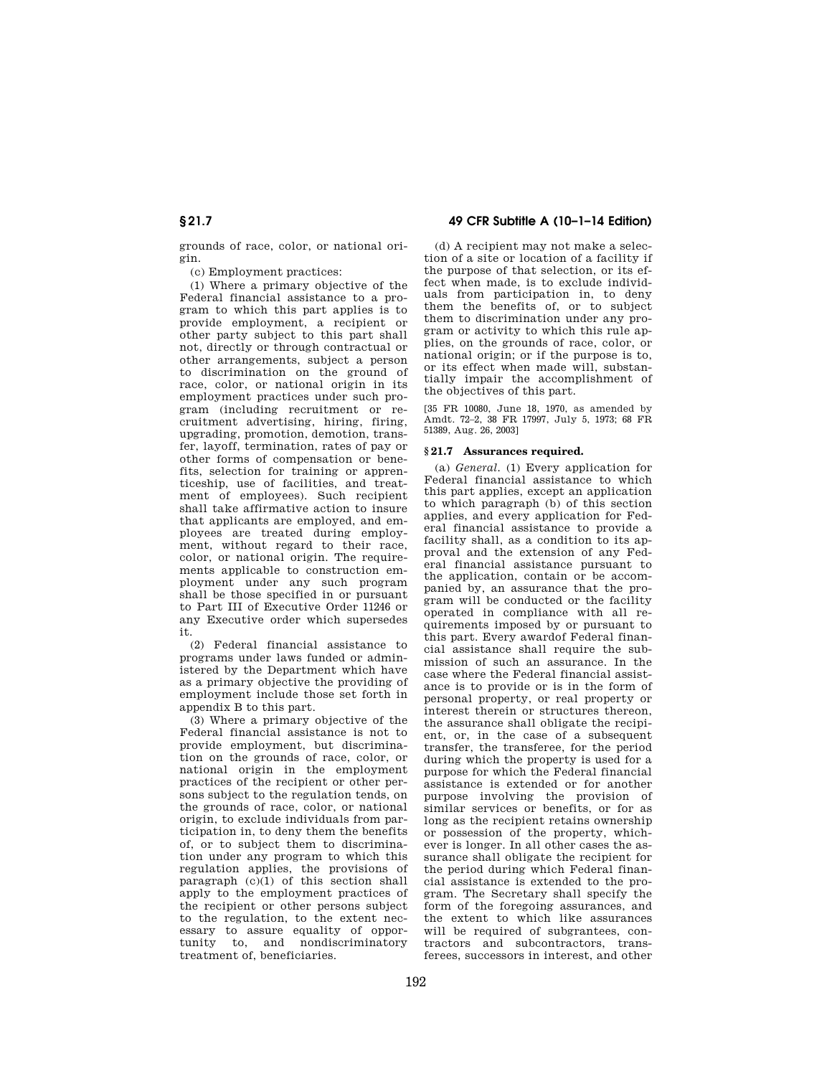grounds of race, color, or national origin.

(c) Employment practices:

(1) Where a primary objective of the Federal financial assistance to a program to which this part applies is to provide employment, a recipient or other party subject to this part shall not, directly or through contractual or other arrangements, subject a person to discrimination on the ground of race, color, or national origin in its employment practices under such program (including recruitment or recruitment advertising, hiring, firing, upgrading, promotion, demotion, transfer, layoff, termination, rates of pay or other forms of compensation or benefits, selection for training or apprenticeship, use of facilities, and treatment of employees). Such recipient shall take affirmative action to insure that applicants are employed, and employees are treated during employment, without regard to their race, color, or national origin. The requirements applicable to construction employment under any such program shall be those specified in or pursuant to Part III of Executive Order 11246 or any Executive order which supersedes it.

(2) Federal financial assistance to programs under laws funded or administered by the Department which have as a primary objective the providing of employment include those set forth in appendix B to this part.

(3) Where a primary objective of the Federal financial assistance is not to provide employment, but discrimination on the grounds of race, color, or national origin in the employment practices of the recipient or other persons subject to the regulation tends, on the grounds of race, color, or national origin, to exclude individuals from participation in, to deny them the benefits of, or to subject them to discrimination under any program to which this regulation applies, the provisions of paragraph (c)(1) of this section shall apply to the employment practices of the recipient or other persons subject to the regulation, to the extent necessary to assure equality of opportunity to, and nondiscriminatory treatment of, beneficiaries.

# **§ 21.7 49 CFR Subtitle A (10–1–14 Edition)**

(d) A recipient may not make a selection of a site or location of a facility if the purpose of that selection, or its effect when made, is to exclude individuals from participation in, to deny them the benefits of, or to subject them to discrimination under any program or activity to which this rule applies, on the grounds of race, color, or national origin; or if the purpose is to, or its effect when made will, substantially impair the accomplishment of the objectives of this part.

[35 FR 10080, June 18, 1970, as amended by Amdt. 72–2, 38 FR 17997, July 5, 1973; 68 FR 51389, Aug. 26, 2003]

### **§ 21.7 Assurances required.**

(a) *General.* (1) Every application for Federal financial assistance to which this part applies, except an application to which paragraph (b) of this section applies, and every application for Federal financial assistance to provide a facility shall, as a condition to its approval and the extension of any Federal financial assistance pursuant to the application, contain or be accompanied by, an assurance that the program will be conducted or the facility operated in compliance with all requirements imposed by or pursuant to this part. Every awardof Federal financial assistance shall require the submission of such an assurance. In the case where the Federal financial assistance is to provide or is in the form of personal property, or real property or interest therein or structures thereon, the assurance shall obligate the recipient, or, in the case of a subsequent transfer, the transferee, for the period during which the property is used for a purpose for which the Federal financial assistance is extended or for another purpose involving the provision of similar services or benefits, or for as long as the recipient retains ownership or possession of the property, whichever is longer. In all other cases the assurance shall obligate the recipient for the period during which Federal financial assistance is extended to the program. The Secretary shall specify the form of the foregoing assurances, and the extent to which like assurances will be required of subgrantees, contractors and subcontractors, transferees, successors in interest, and other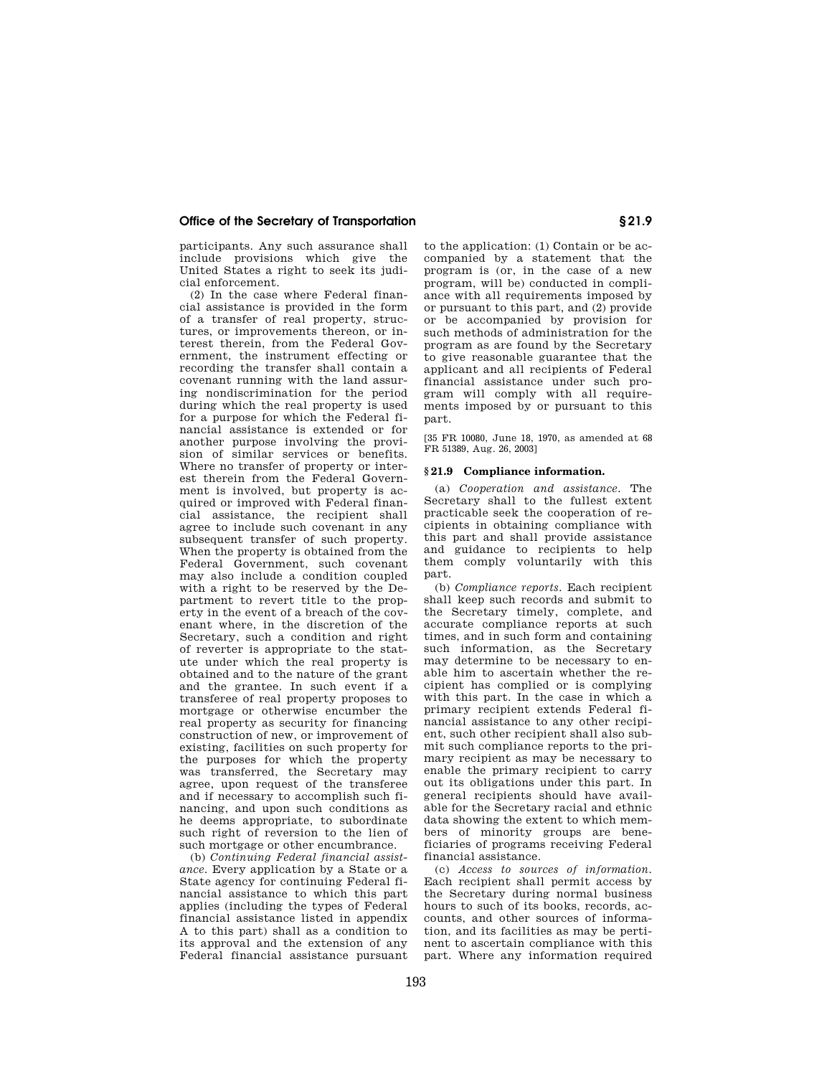participants. Any such assurance shall include provisions which give the United States a right to seek its judicial enforcement.

(2) In the case where Federal financial assistance is provided in the form of a transfer of real property, structures, or improvements thereon, or interest therein, from the Federal Government, the instrument effecting or recording the transfer shall contain a covenant running with the land assuring nondiscrimination for the period during which the real property is used for a purpose for which the Federal financial assistance is extended or for another purpose involving the provision of similar services or benefits. Where no transfer of property or interest therein from the Federal Government is involved, but property is acquired or improved with Federal financial assistance, the recipient shall agree to include such covenant in any subsequent transfer of such property. When the property is obtained from the Federal Government, such covenant may also include a condition coupled with a right to be reserved by the Department to revert title to the property in the event of a breach of the covenant where, in the discretion of the Secretary, such a condition and right of reverter is appropriate to the statute under which the real property is obtained and to the nature of the grant and the grantee. In such event if a transferee of real property proposes to mortgage or otherwise encumber the real property as security for financing construction of new, or improvement of existing, facilities on such property for the purposes for which the property was transferred, the Secretary may agree, upon request of the transferee and if necessary to accomplish such financing, and upon such conditions as he deems appropriate, to subordinate such right of reversion to the lien of such mortgage or other encumbrance.

(b) *Continuing Federal financial assistance.* Every application by a State or a State agency for continuing Federal financial assistance to which this part applies (including the types of Federal financial assistance listed in appendix A to this part) shall as a condition to its approval and the extension of any Federal financial assistance pursuant to the application: (1) Contain or be accompanied by a statement that the program is (or, in the case of a new program, will be) conducted in compliance with all requirements imposed by or pursuant to this part, and (2) provide or be accompanied by provision for such methods of administration for the program as are found by the Secretary to give reasonable guarantee that the applicant and all recipients of Federal financial assistance under such program will comply with all requirements imposed by or pursuant to this part.

[35 FR 10080, June 18, 1970, as amended at 68 FR 51389, Aug. 26, 2003]

### **§ 21.9 Compliance information.**

(a) *Cooperation and assistance.* The Secretary shall to the fullest extent practicable seek the cooperation of recipients in obtaining compliance with this part and shall provide assistance and guidance to recipients to help them comply voluntarily with this part.

(b) *Compliance reports.* Each recipient shall keep such records and submit to the Secretary timely, complete, and accurate compliance reports at such times, and in such form and containing such information, as the Secretary may determine to be necessary to enable him to ascertain whether the recipient has complied or is complying with this part. In the case in which a primary recipient extends Federal financial assistance to any other recipient, such other recipient shall also submit such compliance reports to the primary recipient as may be necessary to enable the primary recipient to carry out its obligations under this part. In general recipients should have available for the Secretary racial and ethnic data showing the extent to which members of minority groups are beneficiaries of programs receiving Federal financial assistance.

(c) *Access to sources of information.*  Each recipient shall permit access by the Secretary during normal business hours to such of its books, records, accounts, and other sources of information, and its facilities as may be pertinent to ascertain compliance with this part. Where any information required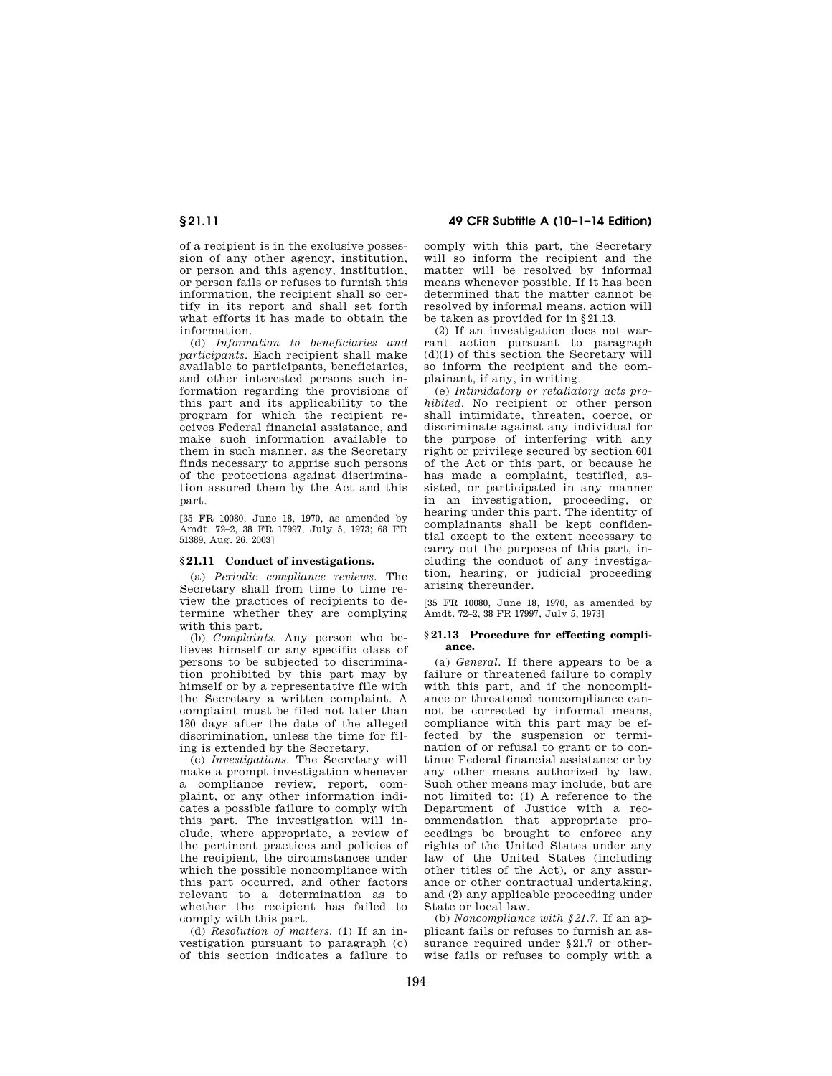of a recipient is in the exclusive possession of any other agency, institution, or person and this agency, institution, or person fails or refuses to furnish this information, the recipient shall so certify in its report and shall set forth what efforts it has made to obtain the information.

(d) *Information to beneficiaries and participants.* Each recipient shall make available to participants, beneficiaries, and other interested persons such information regarding the provisions of this part and its applicability to the program for which the recipient receives Federal financial assistance, and make such information available to them in such manner, as the Secretary finds necessary to apprise such persons of the protections against discrimination assured them by the Act and this part.

[35 FR 10080, June 18, 1970, as amended by Amdt. 72–2, 38 FR 17997, July 5, 1973; 68 FR 51389, Aug. 26, 2003]

# **§ 21.11 Conduct of investigations.**

(a) *Periodic compliance reviews.* The Secretary shall from time to time review the practices of recipients to determine whether they are complying with this part.

(b) *Complaints.* Any person who believes himself or any specific class of persons to be subjected to discrimination prohibited by this part may by himself or by a representative file with the Secretary a written complaint. A complaint must be filed not later than 180 days after the date of the alleged discrimination, unless the time for filing is extended by the Secretary.

(c) *Investigations.* The Secretary will make a prompt investigation whenever a compliance review, report, complaint, or any other information indicates a possible failure to comply with this part. The investigation will include, where appropriate, a review of the pertinent practices and policies of the recipient, the circumstances under which the possible noncompliance with this part occurred, and other factors relevant to a determination as to whether the recipient has failed to comply with this part.

(d) *Resolution of matters.* (1) If an investigation pursuant to paragraph (c) of this section indicates a failure to comply with this part, the Secretary will so inform the recipient and the matter will be resolved by informal means whenever possible. If it has been determined that the matter cannot be resolved by informal means, action will be taken as provided for in §21.13.

(2) If an investigation does not warrant action pursuant to paragraph (d)(1) of this section the Secretary will so inform the recipient and the complainant, if any, in writing.

(e) *Intimidatory or retaliatory acts prohibited.* No recipient or other person shall intimidate, threaten, coerce, or discriminate against any individual for the purpose of interfering with any right or privilege secured by section 601 of the Act or this part, or because he has made a complaint, testified, assisted, or participated in any manner in an investigation, proceeding, or hearing under this part. The identity of complainants shall be kept confidential except to the extent necessary to carry out the purposes of this part, including the conduct of any investigation, hearing, or judicial proceeding arising thereunder.

[35 FR 10080, June 18, 1970, as amended by Amdt. 72–2, 38 FR 17997, July 5, 1973]

#### **§ 21.13 Procedure for effecting compliance.**

(a) *General.* If there appears to be a failure or threatened failure to comply with this part, and if the noncompliance or threatened noncompliance cannot be corrected by informal means, compliance with this part may be effected by the suspension or termination of or refusal to grant or to continue Federal financial assistance or by any other means authorized by law. Such other means may include, but are not limited to: (1) A reference to the Department of Justice with a recommendation that appropriate proceedings be brought to enforce any rights of the United States under any law of the United States (including other titles of the Act), or any assurance or other contractual undertaking, and (2) any applicable proceeding under State or local law.

(b) *Noncompliance with §21.7.* If an applicant fails or refuses to furnish an assurance required under §21.7 or otherwise fails or refuses to comply with a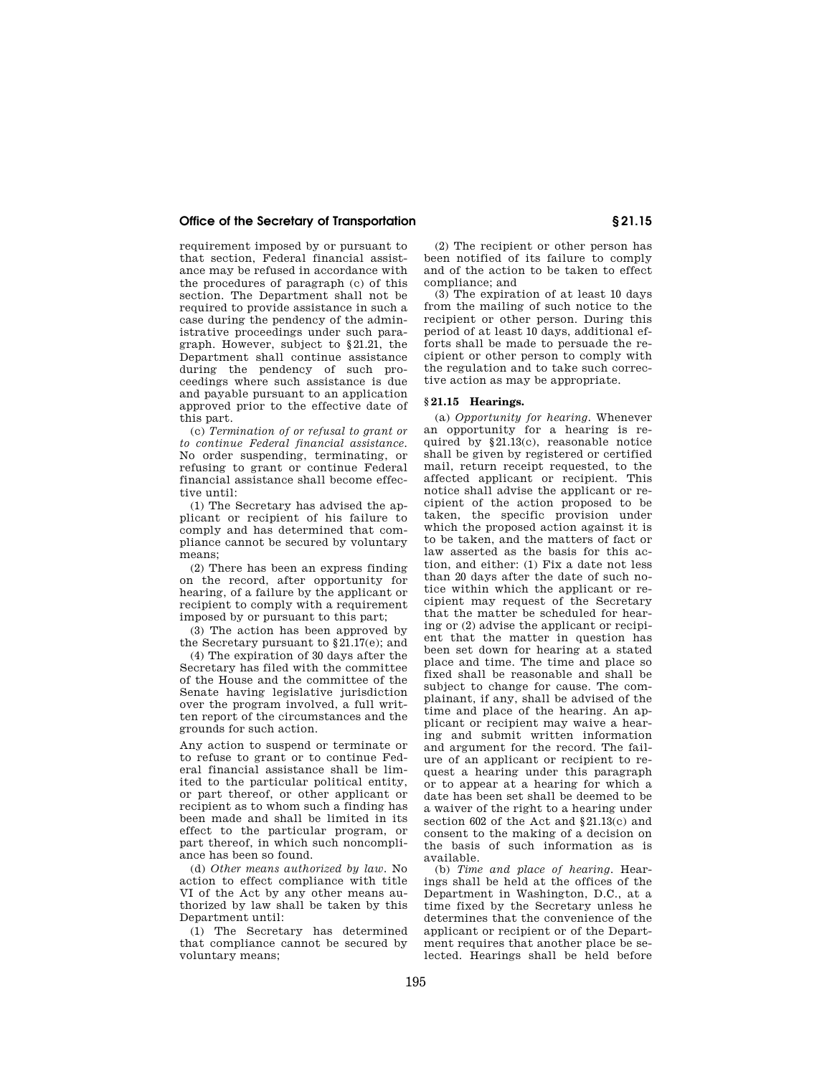requirement imposed by or pursuant to that section, Federal financial assistance may be refused in accordance with the procedures of paragraph (c) of this section. The Department shall not be required to provide assistance in such a case during the pendency of the administrative proceedings under such paragraph. However, subject to §21.21, the Department shall continue assistance during the pendency of such proceedings where such assistance is due and payable pursuant to an application approved prior to the effective date of this part.

(c) *Termination of or refusal to grant or to continue Federal financial assistance.*  No order suspending, terminating, or refusing to grant or continue Federal financial assistance shall become effective until:

(1) The Secretary has advised the applicant or recipient of his failure to comply and has determined that compliance cannot be secured by voluntary means;

 $(2)$  There has been an express finding on the record, after opportunity for hearing, of a failure by the applicant or recipient to comply with a requirement imposed by or pursuant to this part;

(3) The action has been approved by the Secretary pursuant to §21.17(e); and

(4) The expiration of 30 days after the Secretary has filed with the committee of the House and the committee of the Senate having legislative jurisdiction over the program involved, a full written report of the circumstances and the grounds for such action.

Any action to suspend or terminate or to refuse to grant or to continue Federal financial assistance shall be limited to the particular political entity, or part thereof, or other applicant or recipient as to whom such a finding has been made and shall be limited in its effect to the particular program, or part thereof, in which such noncompliance has been so found.

(d) *Other means authorized by law.* No action to effect compliance with title VI of the Act by any other means authorized by law shall be taken by this Department until:

(1) The Secretary has determined that compliance cannot be secured by voluntary means;

(2) The recipient or other person has been notified of its failure to comply and of the action to be taken to effect compliance; and

(3) The expiration of at least 10 days from the mailing of such notice to the recipient or other person. During this period of at least 10 days, additional efforts shall be made to persuade the recipient or other person to comply with the regulation and to take such corrective action as may be appropriate.

## **§ 21.15 Hearings.**

(a) *Opportunity for hearing.* Whenever an opportunity for a hearing is required by §21.13(c), reasonable notice shall be given by registered or certified mail, return receipt requested, to the affected applicant or recipient. This notice shall advise the applicant or recipient of the action proposed to be taken, the specific provision under which the proposed action against it is to be taken, and the matters of fact or law asserted as the basis for this action, and either: (1) Fix a date not less than 20 days after the date of such notice within which the applicant or recipient may request of the Secretary that the matter be scheduled for hearing or (2) advise the applicant or recipient that the matter in question has been set down for hearing at a stated place and time. The time and place so fixed shall be reasonable and shall be subject to change for cause. The complainant, if any, shall be advised of the time and place of the hearing. An applicant or recipient may waive a hearing and submit written information and argument for the record. The failure of an applicant or recipient to request a hearing under this paragraph or to appear at a hearing for which a date has been set shall be deemed to be a waiver of the right to a hearing under section 602 of the Act and §21.13(c) and consent to the making of a decision on the basis of such information as is available.

(b) *Time and place of hearing.* Hearings shall be held at the offices of the Department in Washington, D.C., at a time fixed by the Secretary unless he determines that the convenience of the applicant or recipient or of the Department requires that another place be selected. Hearings shall be held before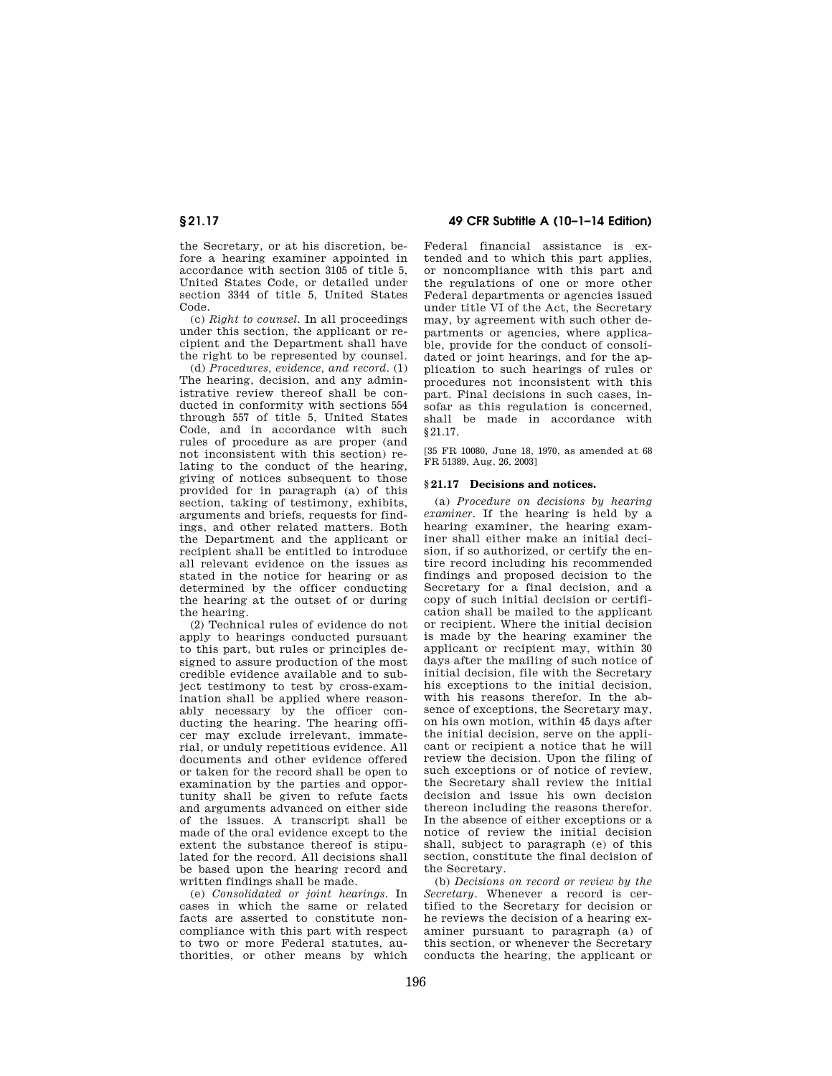the Secretary, or at his discretion, before a hearing examiner appointed in accordance with section 3105 of title 5, United States Code, or detailed under section 3344 of title 5, United States Code.

(c) *Right to counsel.* In all proceedings under this section, the applicant or recipient and the Department shall have the right to be represented by counsel.

(d) *Procedures, evidence, and record.* (1) The hearing, decision, and any administrative review thereof shall be conducted in conformity with sections 554 through 557 of title 5, United States Code, and in accordance with such rules of procedure as are proper (and not inconsistent with this section) relating to the conduct of the hearing, giving of notices subsequent to those provided for in paragraph (a) of this section, taking of testimony, exhibits, arguments and briefs, requests for findings, and other related matters. Both the Department and the applicant or recipient shall be entitled to introduce all relevant evidence on the issues as stated in the notice for hearing or as determined by the officer conducting the hearing at the outset of or during the hearing.

(2) Technical rules of evidence do not apply to hearings conducted pursuant to this part, but rules or principles designed to assure production of the most credible evidence available and to subject testimony to test by cross-examination shall be applied where reasonably necessary by the officer conducting the hearing. The hearing officer may exclude irrelevant, immaterial, or unduly repetitious evidence. All documents and other evidence offered or taken for the record shall be open to examination by the parties and opportunity shall be given to refute facts and arguments advanced on either side of the issues. A transcript shall be made of the oral evidence except to the extent the substance thereof is stipulated for the record. All decisions shall be based upon the hearing record and written findings shall be made.

(e) *Consolidated or joint hearings.* In cases in which the same or related facts are asserted to constitute noncompliance with this part with respect to two or more Federal statutes, authorities, or other means by which

**§ 21.17 49 CFR Subtitle A (10–1–14 Edition)** 

Federal financial assistance is extended and to which this part applies, or noncompliance with this part and the regulations of one or more other Federal departments or agencies issued under title VI of the Act, the Secretary may, by agreement with such other departments or agencies, where applicable, provide for the conduct of consolidated or joint hearings, and for the application to such hearings of rules or procedures not inconsistent with this part. Final decisions in such cases, insofar as this regulation is concerned, shall be made in accordance with §21.17.

[35 FR 10080, June 18, 1970, as amended at 68 FR 51389, Aug. 26, 2003]

#### **§ 21.17 Decisions and notices.**

(a) *Procedure on decisions by hearing examiner.* If the hearing is held by a hearing examiner, the hearing examiner shall either make an initial decision, if so authorized, or certify the entire record including his recommended findings and proposed decision to the Secretary for a final decision, and a copy of such initial decision or certification shall be mailed to the applicant or recipient. Where the initial decision is made by the hearing examiner the applicant or recipient may, within 30 days after the mailing of such notice of initial decision, file with the Secretary his exceptions to the initial decision, with his reasons therefor. In the absence of exceptions, the Secretary may, on his own motion, within 45 days after the initial decision, serve on the applicant or recipient a notice that he will review the decision. Upon the filing of such exceptions or of notice of review, the Secretary shall review the initial decision and issue his own decision thereon including the reasons therefor. In the absence of either exceptions or a notice of review the initial decision shall, subject to paragraph (e) of this section, constitute the final decision of the Secretary.

(b) *Decisions on record or review by the Secretary.* Whenever a record is certified to the Secretary for decision or he reviews the decision of a hearing examiner pursuant to paragraph (a) of this section, or whenever the Secretary conducts the hearing, the applicant or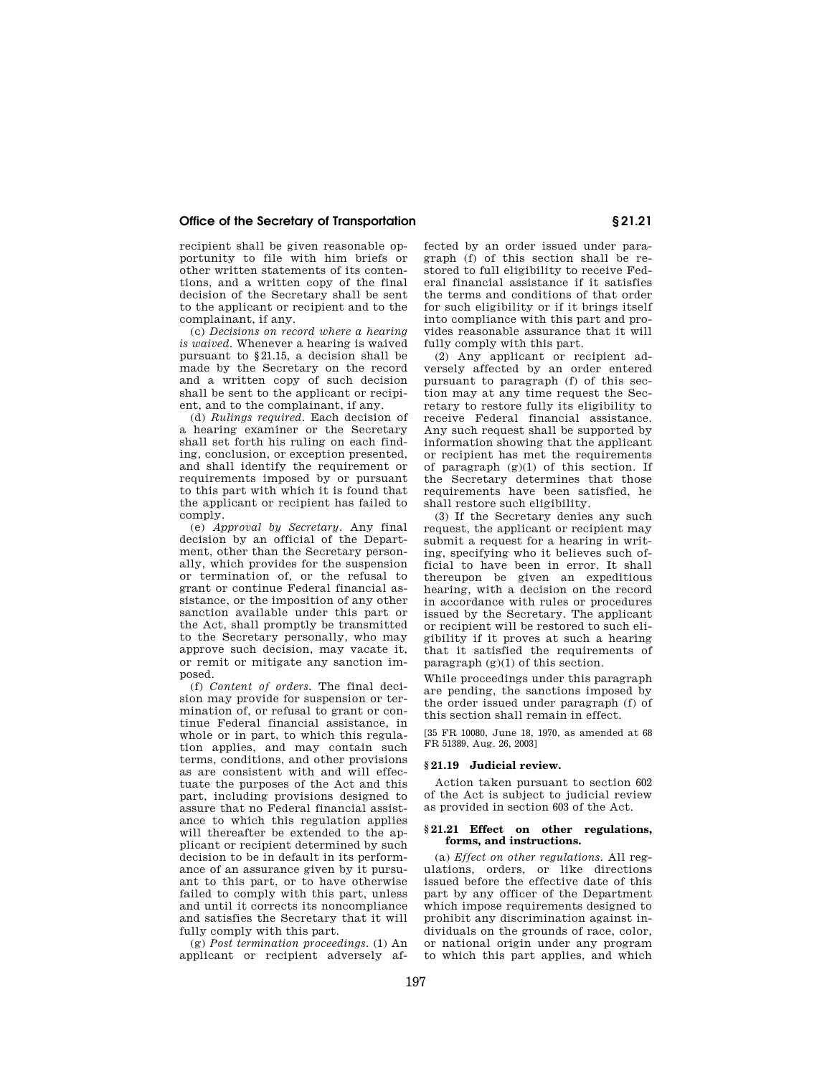recipient shall be given reasonable opportunity to file with him briefs or other written statements of its contentions, and a written copy of the final decision of the Secretary shall be sent to the applicant or recipient and to the complainant, if any.

(c) *Decisions on record where a hearing is waived.* Whenever a hearing is waived pursuant to §21.15, a decision shall be made by the Secretary on the record and a written copy of such decision shall be sent to the applicant or recipient, and to the complainant, if any.

(d) *Rulings required.* Each decision of a hearing examiner or the Secretary shall set forth his ruling on each finding, conclusion, or exception presented, and shall identify the requirement or requirements imposed by or pursuant to this part with which it is found that the applicant or recipient has failed to comply.

(e) *Approval by Secretary.* Any final decision by an official of the Department, other than the Secretary personally, which provides for the suspension or termination of, or the refusal to grant or continue Federal financial assistance, or the imposition of any other sanction available under this part or the Act, shall promptly be transmitted to the Secretary personally, who may approve such decision, may vacate it, or remit or mitigate any sanction imposed.

(f) *Content of orders.* The final decision may provide for suspension or termination of, or refusal to grant or continue Federal financial assistance, in whole or in part, to which this regulation applies, and may contain such terms, conditions, and other provisions as are consistent with and will effectuate the purposes of the Act and this part, including provisions designed to assure that no Federal financial assistance to which this regulation applies will thereafter be extended to the applicant or recipient determined by such decision to be in default in its performance of an assurance given by it pursuant to this part, or to have otherwise failed to comply with this part, unless and until it corrects its noncompliance and satisfies the Secretary that it will fully comply with this part.

(g) *Post termination proceedings.* (1) An applicant or recipient adversely affected by an order issued under paragraph (f) of this section shall be restored to full eligibility to receive Federal financial assistance if it satisfies the terms and conditions of that order for such eligibility or if it brings itself into compliance with this part and provides reasonable assurance that it will fully comply with this part.

(2) Any applicant or recipient adversely affected by an order entered pursuant to paragraph (f) of this section may at any time request the Secretary to restore fully its eligibility to receive Federal financial assistance. Any such request shall be supported by information showing that the applicant or recipient has met the requirements of paragraph  $(g)(1)$  of this section. If the Secretary determines that those requirements have been satisfied, he shall restore such eligibility.

(3) If the Secretary denies any such request, the applicant or recipient may submit a request for a hearing in writing, specifying who it believes such official to have been in error. It shall thereupon be given an expeditious hearing, with a decision on the record in accordance with rules or procedures issued by the Secretary. The applicant or recipient will be restored to such eligibility if it proves at such a hearing that it satisfied the requirements of paragraph  $(g)(1)$  of this section.

While proceedings under this paragraph are pending, the sanctions imposed by the order issued under paragraph (f) of this section shall remain in effect.

[35 FR 10080, June 18, 1970, as amended at 68 FR 51389, Aug. 26, 2003]

#### **§ 21.19 Judicial review.**

Action taken pursuant to section 602 of the Act is subject to judicial review as provided in section 603 of the Act.

#### **§ 21.21 Effect on other regulations, forms, and instructions.**

(a) *Effect on other regulations.* All regulations, orders, or like directions issued before the effective date of this part by any officer of the Department which impose requirements designed to prohibit any discrimination against individuals on the grounds of race, color, or national origin under any program to which this part applies, and which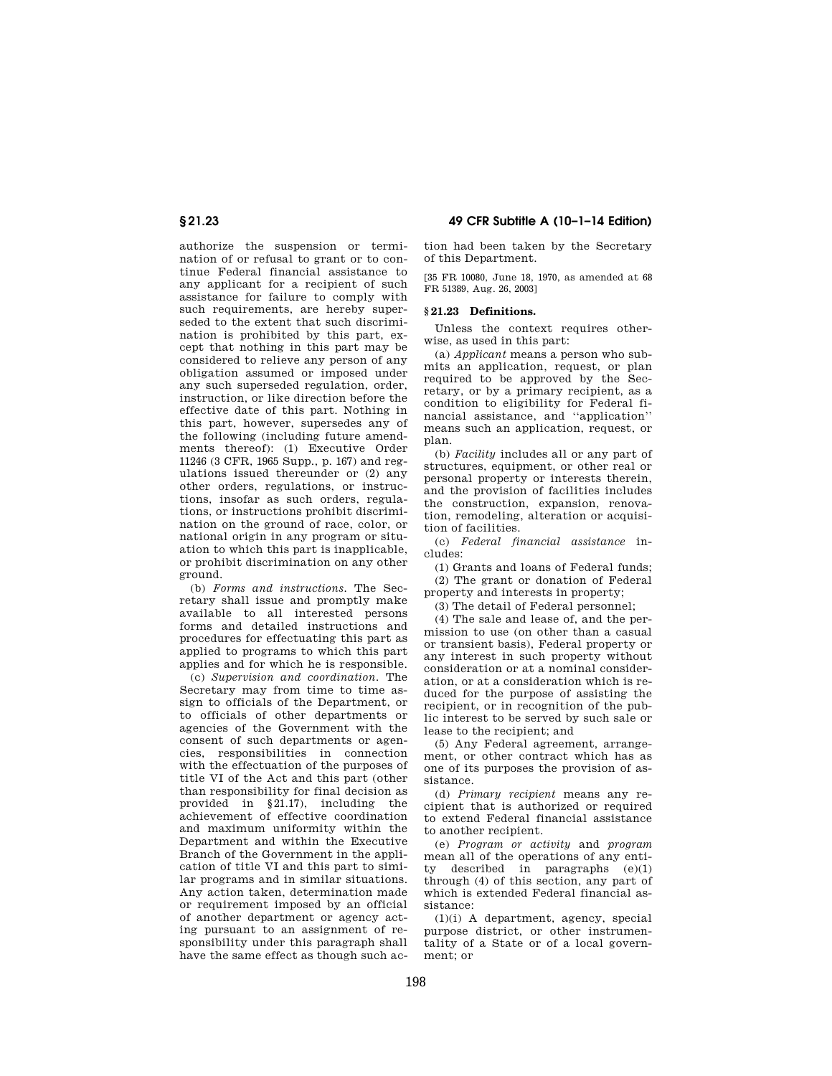authorize the suspension or termination of or refusal to grant or to continue Federal financial assistance to any applicant for a recipient of such assistance for failure to comply with such requirements, are hereby superseded to the extent that such discrimination is prohibited by this part, except that nothing in this part may be considered to relieve any person of any obligation assumed or imposed under any such superseded regulation, order, instruction, or like direction before the effective date of this part. Nothing in this part, however, supersedes any of the following (including future amendments thereof): (1) Executive Order 11246 (3 CFR, 1965 Supp., p. 167) and regulations issued thereunder or (2) any other orders, regulations, or instructions, insofar as such orders, regulations, or instructions prohibit discrimination on the ground of race, color, or national origin in any program or situation to which this part is inapplicable, or prohibit discrimination on any other ground.

(b) *Forms and instructions.* The Secretary shall issue and promptly make available to all interested persons forms and detailed instructions and procedures for effectuating this part as applied to programs to which this part applies and for which he is responsible.

(c) *Supervision and coordination.* The Secretary may from time to time assign to officials of the Department, or to officials of other departments or agencies of the Government with the consent of such departments or agencies, responsibilities in connection with the effectuation of the purposes of title VI of the Act and this part (other than responsibility for final decision as provided in §21.17), including the achievement of effective coordination and maximum uniformity within the Department and within the Executive Branch of the Government in the application of title VI and this part to similar programs and in similar situations. Any action taken, determination made or requirement imposed by an official of another department or agency acting pursuant to an assignment of responsibility under this paragraph shall have the same effect as though such ac-

# **§ 21.23 49 CFR Subtitle A (10–1–14 Edition)**

tion had been taken by the Secretary of this Department.

[35 FR 10080, June 18, 1970, as amended at 68 FR 51389, Aug. 26, 2003]

# **§ 21.23 Definitions.**

Unless the context requires otherwise, as used in this part:

(a) *Applicant* means a person who submits an application, request, or plan required to be approved by the Secretary, or by a primary recipient, as a condition to eligibility for Federal financial assistance, and ''application'' means such an application, request, or plan.

(b) *Facility* includes all or any part of structures, equipment, or other real or personal property or interests therein, and the provision of facilities includes the construction, expansion, renovation, remodeling, alteration or acquisition of facilities.

(c) *Federal financial assistance* includes:

(1) Grants and loans of Federal funds; (2) The grant or donation of Federal property and interests in property;

(3) The detail of Federal personnel;

(4) The sale and lease of, and the per-

mission to use (on other than a casual or transient basis), Federal property or any interest in such property without consideration or at a nominal consideration, or at a consideration which is reduced for the purpose of assisting the recipient, or in recognition of the public interest to be served by such sale or lease to the recipient; and

(5) Any Federal agreement, arrangement, or other contract which has as one of its purposes the provision of assistance.

(d) *Primary recipient* means any recipient that is authorized or required to extend Federal financial assistance to another recipient.

(e) *Program or activity* and *program*  mean all of the operations of any entity described in paragraphs (e)(1) through (4) of this section, any part of which is extended Federal financial assistance:

(1)(i) A department, agency, special purpose district, or other instrumentality of a State or of a local government; or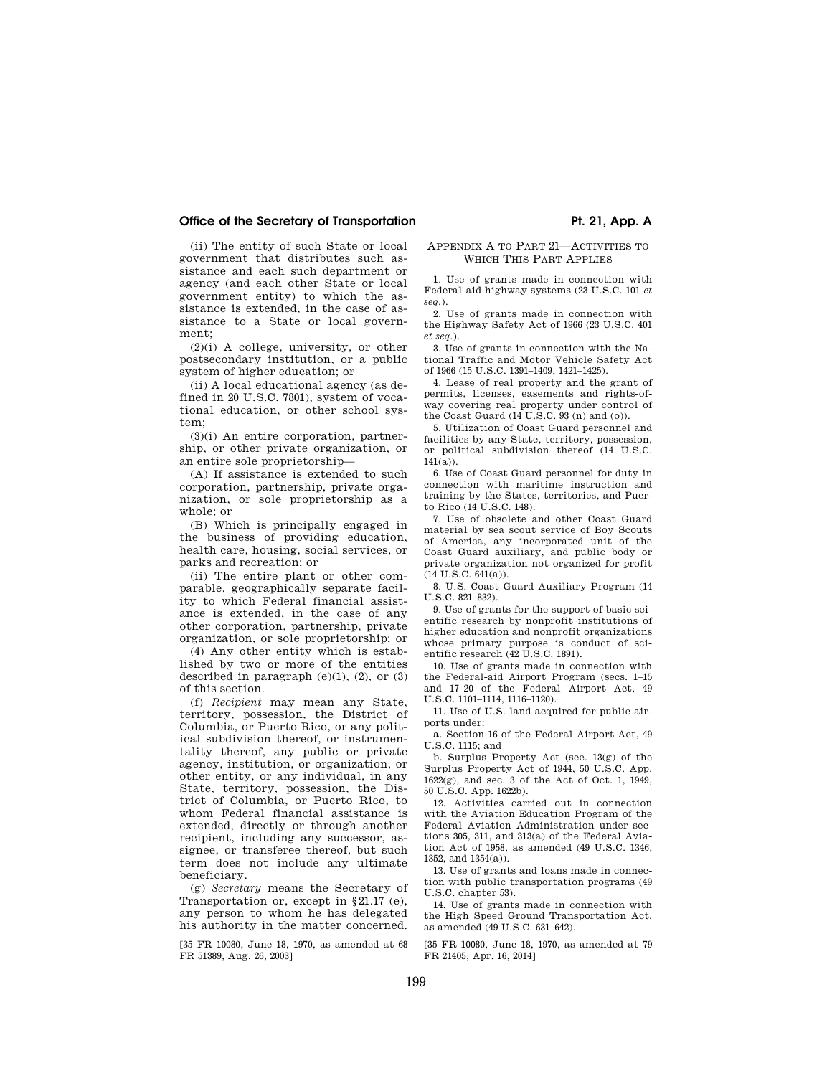## Office of the Secretary of Transportation **Pt. 21, App. A**

(ii) The entity of such State or local government that distributes such assistance and each such department or agency (and each other State or local government entity) to which the assistance is extended, in the case of assistance to a State or local government;

(2)(i) A college, university, or other postsecondary institution, or a public system of higher education; or

(ii) A local educational agency (as defined in 20 U.S.C. 7801), system of vocational education, or other school system;

(3)(i) An entire corporation, partnership, or other private organization, or an entire sole proprietorship—

(A) If assistance is extended to such corporation, partnership, private organization, or sole proprietorship as a whole; or

(B) Which is principally engaged in the business of providing education, health care, housing, social services, or parks and recreation; or

(ii) The entire plant or other comparable, geographically separate facility to which Federal financial assistance is extended, in the case of any other corporation, partnership, private organization, or sole proprietorship; or

(4) Any other entity which is established by two or more of the entities described in paragraph  $(e)(1)$ ,  $(2)$ , or  $(3)$ of this section.

(f) *Recipient* may mean any State, territory, possession, the District of Columbia, or Puerto Rico, or any political subdivision thereof, or instrumentality thereof, any public or private agency, institution, or organization, or other entity, or any individual, in any State, territory, possession, the District of Columbia, or Puerto Rico, to whom Federal financial assistance is extended, directly or through another recipient, including any successor, assignee, or transferee thereof, but such term does not include any ultimate beneficiary.

(g) *Secretary* means the Secretary of Transportation or, except in §21.17 (e), any person to whom he has delegated his authority in the matter concerned.

[35 FR 10080, June 18, 1970, as amended at 68 FR 51389, Aug. 26, 2003]

# APPENDIX A TO PART 21—ACTIVITIES TO WHICH THIS PART APPLIES

1. Use of grants made in connection with Federal-aid highway systems (23 U.S.C. 101 *et seq.*).

2. Use of grants made in connection with the Highway Safety Act of 1966 (23 U.S.C. 401 *et seq.*).

3. Use of grants in connection with the National Traffic and Motor Vehicle Safety Act of 1966 (15 U.S.C. 1391–1409, 1421–1425).

4. Lease of real property and the grant of permits, licenses, easements and rights-ofway covering real property under control of the Coast Guard (14 U.S.C. 93 (n) and (o)).

5. Utilization of Coast Guard personnel and facilities by any State, territory, possession, or political subdivision thereof (14 U.S.C.  $141(a)$ 

6. Use of Coast Guard personnel for duty in connection with maritime instruction and training by the States, territories, and Puerto Rico (14 U.S.C. 148).

7. Use of obsolete and other Coast Guard material by sea scout service of Boy Scouts of America, any incorporated unit of the Coast Guard auxiliary, and public body or private organization not organized for profit  $(14 \text{ U.S.C. } 641(a))$ .

8. U.S. Coast Guard Auxiliary Program (14 U.S.C. 821–832).

9. Use of grants for the support of basic scientific research by nonprofit institutions of higher education and nonprofit organizations whose primary purpose is conduct of scientific research (42 U.S.C. 1891).

10. Use of grants made in connection with the Federal-aid Airport Program (secs. 1–15 and 17–20 of the Federal Airport Act, 49 U.S.C. 1101–1114, 1116–1120).

11. Use of U.S. land acquired for public airports under:

a. Section 16 of the Federal Airport Act, 49 U.S.C. 1115; and

b. Surplus Property Act (sec. 13(g) of the Surplus Property Act of 1944, 50 U.S.C. App. 1622(g), and sec. 3 of the Act of Oct. 1, 1949, 50 U.S.C. App. 1622b).

12. Activities carried out in connection with the Aviation Education Program of the Federal Aviation Administration under sections 305, 311, and 313(a) of the Federal Aviation Act of 1958, as amended (49 U.S.C. 1346, 1352, and 1354(a)).

13. Use of grants and loans made in connection with public transportation programs (49 U.S.C. chapter 53).

14. Use of grants made in connection with the High Speed Ground Transportation Act, as amended (49 U.S.C. 631–642).

[35 FR 10080, June 18, 1970, as amended at 79 FR 21405, Apr. 16, 2014]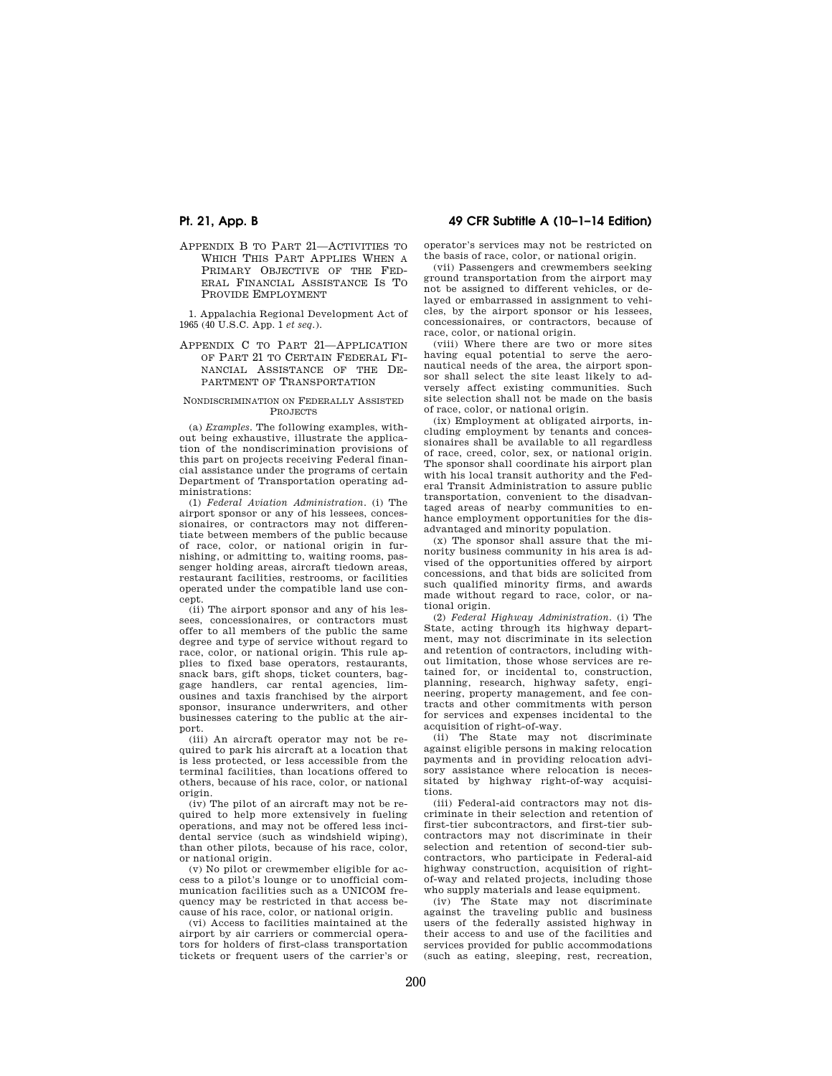APPENDIX B TO PART 21—ACTIVITIES TO WHICH THIS PART APPLIES WHEN A PRIMARY OBJECTIVE OF THE FED-ERAL FINANCIAL ASSISTANCE IS TO PROVIDE EMPLOYMENT

1. Appalachia Regional Development Act of 1965 (40 U.S.C. App. 1 *et seq.*).

APPENDIX C TO PART 21—APPLICATION OF PART 21 TO CERTAIN FEDERAL FI-NANCIAL ASSISTANCE OF THE DE-PARTMENT OF TRANSPORTATION

#### NONDISCRIMINATION ON FEDERALLY ASSISTED PROJECTS

(a) *Examples.* The following examples, without being exhaustive, illustrate the application of the nondiscrimination provisions of this part on projects receiving Federal financial assistance under the programs of certain Department of Transportation operating administrations:

(1) *Federal Aviation Administration.* (i) The airport sponsor or any of his lessees, concessionaires, or contractors may not differentiate between members of the public because of race, color, or national origin in furnishing, or admitting to, waiting rooms, passenger holding areas, aircraft tiedown areas, restaurant facilities, restrooms, or facilities operated under the compatible land use concept.

(ii) The airport sponsor and any of his lessees, concessionaires, or contractors must offer to all members of the public the same degree and type of service without regard to race, color, or national origin. This rule applies to fixed base operators, restaurants, snack bars, gift shops, ticket counters, baggage handlers, car rental agencies, limousines and taxis franchised by the airport sponsor, insurance underwriters, and other businesses catering to the public at the airport.

(iii) An aircraft operator may not be required to park his aircraft at a location that is less protected, or less accessible from the terminal facilities, than locations offered to others, because of his race, color, or national origin.

(iv) The pilot of an aircraft may not be required to help more extensively in fueling operations, and may not be offered less incidental service (such as windshield wiping), than other pilots, because of his race, color, or national origin.

(v) No pilot or crewmember eligible for access to a pilot's lounge or to unofficial communication facilities such as a UNICOM frequency may be restricted in that access because of his race, color, or national origin.

(vi) Access to facilities maintained at the airport by air carriers or commercial operators for holders of first-class transportation tickets or frequent users of the carrier's or

# **Pt. 21, App. B 49 CFR Subtitle A (10–1–14 Edition)**

operator's services may not be restricted on the basis of race, color, or national origin.

(vii) Passengers and crewmembers seeking ground transportation from the airport may not be assigned to different vehicles, or delayed or embarrassed in assignment to vehicles, by the airport sponsor or his lessees, concessionaires, or contractors, because of race, color, or national origin.

(viii) Where there are two or more sites having equal potential to serve the aeronautical needs of the area, the airport sponsor shall select the site least likely to adversely affect existing communities. Such site selection shall not be made on the basis of race, color, or national origin.

(ix) Employment at obligated airports, including employment by tenants and concessionaires shall be available to all regardless of race, creed, color, sex, or national origin. The sponsor shall coordinate his airport plan with his local transit authority and the Federal Transit Administration to assure public transportation, convenient to the disadvantaged areas of nearby communities to enhance employment opportunities for the disadvantaged and minority population.

(x) The sponsor shall assure that the minority business community in his area is advised of the opportunities offered by airport concessions, and that bids are solicited from such qualified minority firms, and awards made without regard to race, color, or national origin.

(2) *Federal Highway Administration.* (i) The State, acting through its highway department, may not discriminate in its selection and retention of contractors, including without limitation, those whose services are retained for, or incidental to, construction, planning, research, highway safety, engineering, property management, and fee contracts and other commitments with person for services and expenses incidental to the acquisition of right-of-way.

(ii) The State may not discriminate against eligible persons in making relocation payments and in providing relocation advisory assistance where relocation is necessitated by highway right-of-way acquisitions.

(iii) Federal-aid contractors may not discriminate in their selection and retention of first-tier subcontractors, and first-tier subcontractors may not discriminate in their selection and retention of second-tier subcontractors, who participate in Federal-aid highway construction, acquisition of rightof-way and related projects, including those who supply materials and lease equipment.

(iv) The State may not discriminate against the traveling public and business users of the federally assisted highway in their access to and use of the facilities and services provided for public accommodations (such as eating, sleeping, rest, recreation,